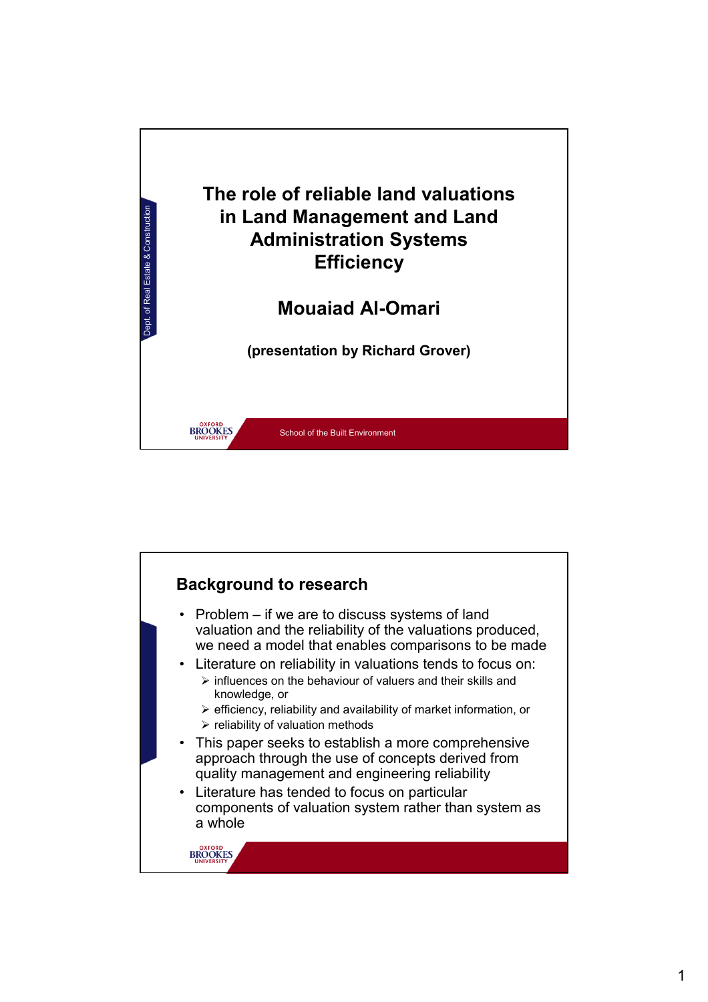

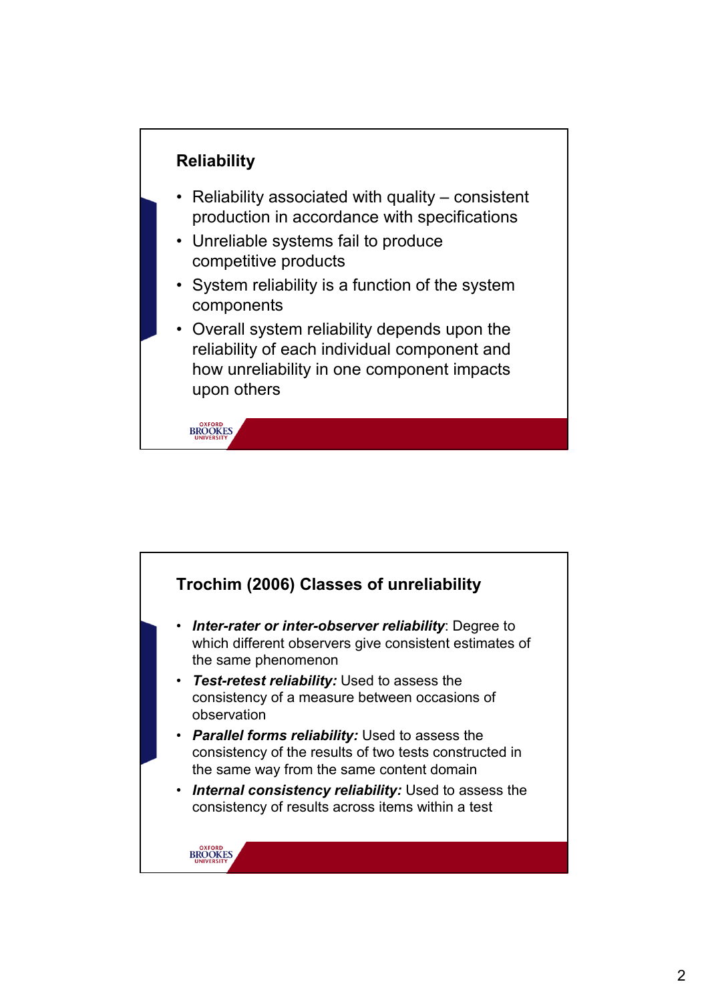

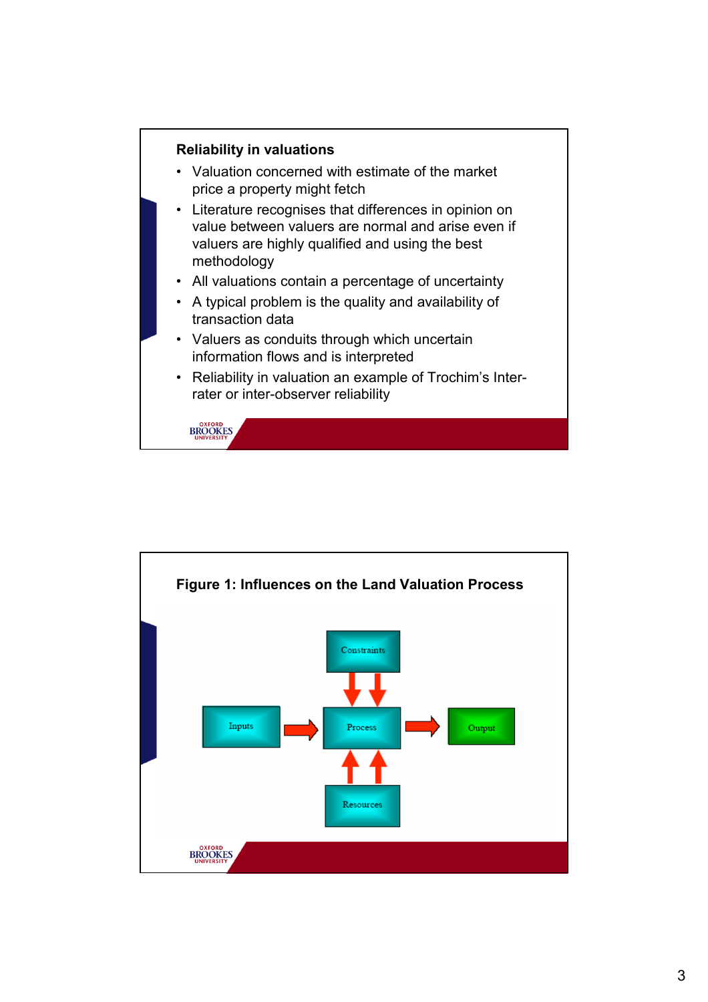

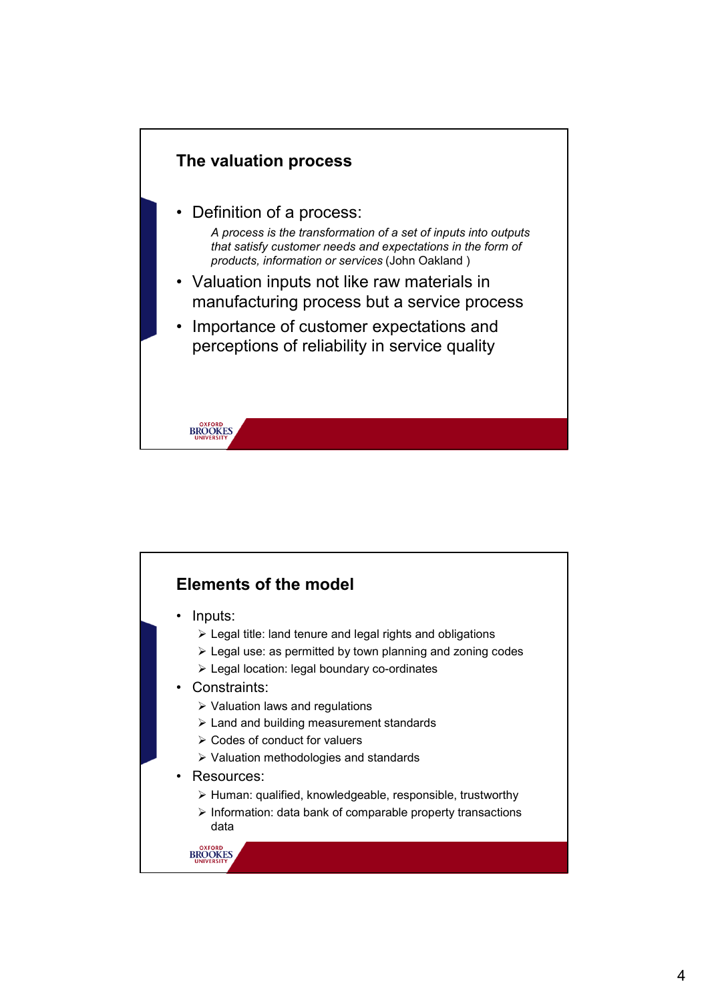

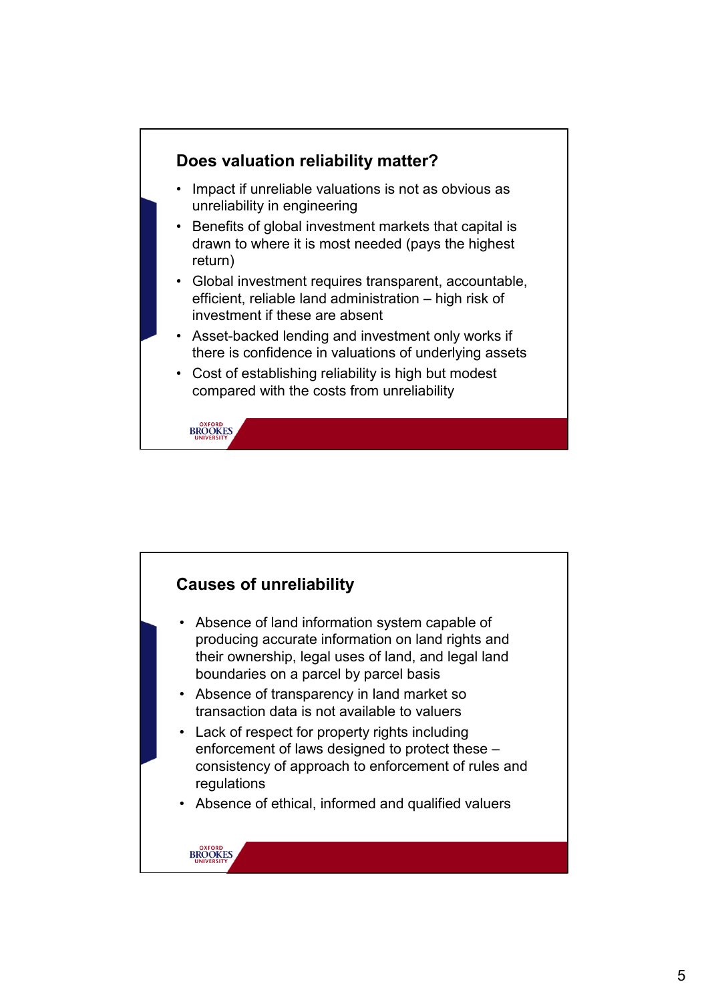